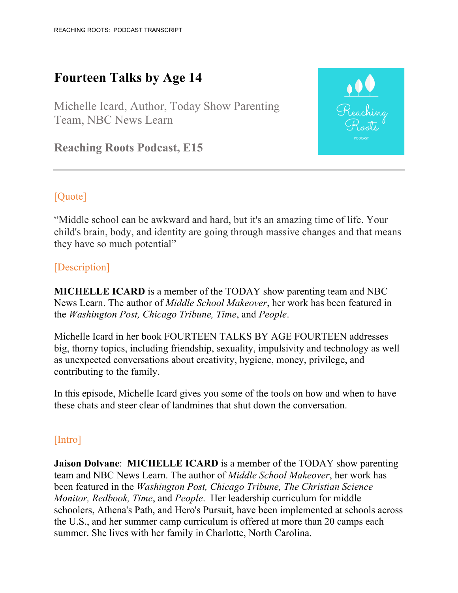# **Fourteen Talks by Age 14**

Michelle Icard, Author, Today Show Parenting Team, NBC News Learn



# [Quote]

"Middle school can be awkward and hard, but it's an amazing time of life. Your child's brain, body, and identity are going through massive changes and that means they have so much potential"

### [Description]

**MICHELLE ICARD** is a member of the TODAY show parenting team and NBC News Learn. The author of *Middle School Makeover*, her work has been featured in the *Washington Post, Chicago Tribune, Time*, and *People*.

Michelle Icard in her book FOURTEEN TALKS BY AGE FOURTEEN addresses big, thorny topics, including friendship, sexuality, impulsivity and technology as well as unexpected conversations about creativity, hygiene, money, privilege, and contributing to the family.

In this episode, Michelle Icard gives you some of the tools on how and when to have these chats and steer clear of landmines that shut down the conversation.

#### [Intro]

**Jaison Dolvane**: **MICHELLE ICARD** is a member of the TODAY show parenting team and NBC News Learn. The author of *Middle School Makeover*, her work has been featured in the *Washington Post, Chicago Tribune, The Christian Science Monitor, Redbook, Time*, and *People*. Her leadership curriculum for middle schoolers, Athena's Path, and Hero's Pursuit, have been implemented at schools across the U.S., and her summer camp curriculum is offered at more than 20 camps each summer. She lives with her family in Charlotte, North Carolina.

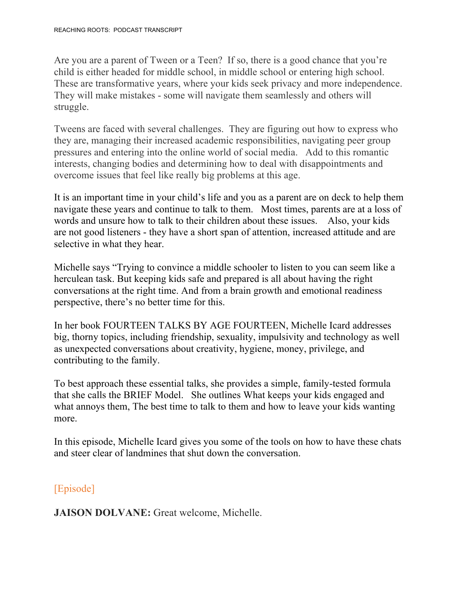Are you are a parent of Tween or a Teen? If so, there is a good chance that you're child is either headed for middle school, in middle school or entering high school. These are transformative years, where your kids seek privacy and more independence. They will make mistakes - some will navigate them seamlessly and others will struggle.

Tweens are faced with several challenges. They are figuring out how to express who they are, managing their increased academic responsibilities, navigating peer group pressures and entering into the online world of social media. Add to this romantic interests, changing bodies and determining how to deal with disappointments and overcome issues that feel like really big problems at this age.

It is an important time in your child's life and you as a parent are on deck to help them navigate these years and continue to talk to them. Most times, parents are at a loss of words and unsure how to talk to their children about these issues. Also, your kids are not good listeners - they have a short span of attention, increased attitude and are selective in what they hear.

Michelle says "Trying to convince a middle schooler to listen to you can seem like a herculean task. But keeping kids safe and prepared is all about having the right conversations at the right time. And from a brain growth and emotional readiness perspective, there's no better time for this.

In her book FOURTEEN TALKS BY AGE FOURTEEN, Michelle Icard addresses big, thorny topics, including friendship, sexuality, impulsivity and technology as well as unexpected conversations about creativity, hygiene, money, privilege, and contributing to the family.

To best approach these essential talks, she provides a simple, family-tested formula that she calls the BRIEF Model. She outlines What keeps your kids engaged and what annoys them, The best time to talk to them and how to leave your kids wanting more.

In this episode, Michelle Icard gives you some of the tools on how to have these chats and steer clear of landmines that shut down the conversation.

[Episode]

**JAISON DOLVANE:** Great welcome, Michelle.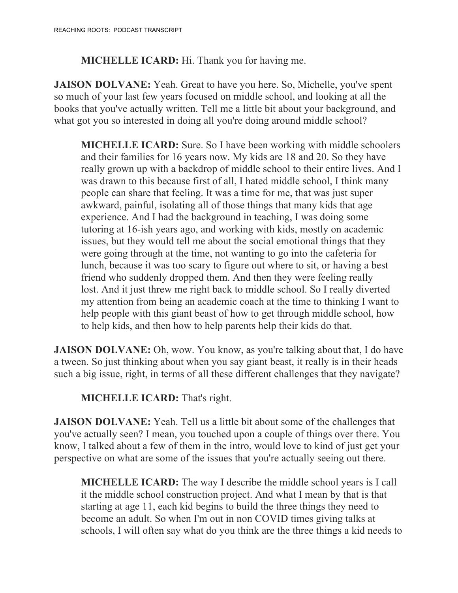**MICHELLE ICARD:** Hi. Thank you for having me.

**JAISON DOLVANE:** Yeah. Great to have you here. So, Michelle, you've spent so much of your last few years focused on middle school, and looking at all the books that you've actually written. Tell me a little bit about your background, and what got you so interested in doing all you're doing around middle school?

**MICHELLE ICARD:** Sure. So I have been working with middle schoolers and their families for 16 years now. My kids are 18 and 20. So they have really grown up with a backdrop of middle school to their entire lives. And I was drawn to this because first of all, I hated middle school, I think many people can share that feeling. It was a time for me, that was just super awkward, painful, isolating all of those things that many kids that age experience. And I had the background in teaching, I was doing some tutoring at 16-ish years ago, and working with kids, mostly on academic issues, but they would tell me about the social emotional things that they were going through at the time, not wanting to go into the cafeteria for lunch, because it was too scary to figure out where to sit, or having a best friend who suddenly dropped them. And then they were feeling really lost. And it just threw me right back to middle school. So I really diverted my attention from being an academic coach at the time to thinking I want to help people with this giant beast of how to get through middle school, how to help kids, and then how to help parents help their kids do that.

**JAISON DOLVANE:** Oh, wow. You know, as you're talking about that, I do have a tween. So just thinking about when you say giant beast, it really is in their heads such a big issue, right, in terms of all these different challenges that they navigate?

## **MICHELLE ICARD:** That's right.

**JAISON DOLVANE:** Yeah. Tell us a little bit about some of the challenges that you've actually seen? I mean, you touched upon a couple of things over there. You know, I talked about a few of them in the intro, would love to kind of just get your perspective on what are some of the issues that you're actually seeing out there.

**MICHELLE ICARD:** The way I describe the middle school years is I call it the middle school construction project. And what I mean by that is that starting at age 11, each kid begins to build the three things they need to become an adult. So when I'm out in non COVID times giving talks at schools, I will often say what do you think are the three things a kid needs to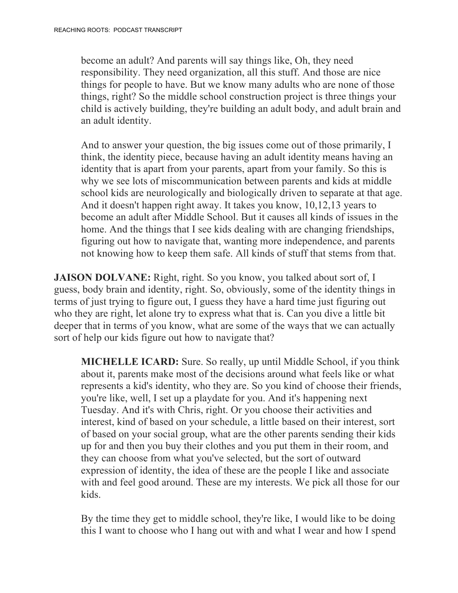become an adult? And parents will say things like, Oh, they need responsibility. They need organization, all this stuff. And those are nice things for people to have. But we know many adults who are none of those things, right? So the middle school construction project is three things your child is actively building, they're building an adult body, and adult brain and an adult identity.

And to answer your question, the big issues come out of those primarily, I think, the identity piece, because having an adult identity means having an identity that is apart from your parents, apart from your family. So this is why we see lots of miscommunication between parents and kids at middle school kids are neurologically and biologically driven to separate at that age. And it doesn't happen right away. It takes you know, 10,12,13 years to become an adult after Middle School. But it causes all kinds of issues in the home. And the things that I see kids dealing with are changing friendships, figuring out how to navigate that, wanting more independence, and parents not knowing how to keep them safe. All kinds of stuff that stems from that.

**JAISON DOLVANE:** Right, right. So you know, you talked about sort of, I guess, body brain and identity, right. So, obviously, some of the identity things in terms of just trying to figure out, I guess they have a hard time just figuring out who they are right, let alone try to express what that is. Can you dive a little bit deeper that in terms of you know, what are some of the ways that we can actually sort of help our kids figure out how to navigate that?

**MICHELLE ICARD:** Sure. So really, up until Middle School, if you think about it, parents make most of the decisions around what feels like or what represents a kid's identity, who they are. So you kind of choose their friends, you're like, well, I set up a playdate for you. And it's happening next Tuesday. And it's with Chris, right. Or you choose their activities and interest, kind of based on your schedule, a little based on their interest, sort of based on your social group, what are the other parents sending their kids up for and then you buy their clothes and you put them in their room, and they can choose from what you've selected, but the sort of outward expression of identity, the idea of these are the people I like and associate with and feel good around. These are my interests. We pick all those for our kids.

By the time they get to middle school, they're like, I would like to be doing this I want to choose who I hang out with and what I wear and how I spend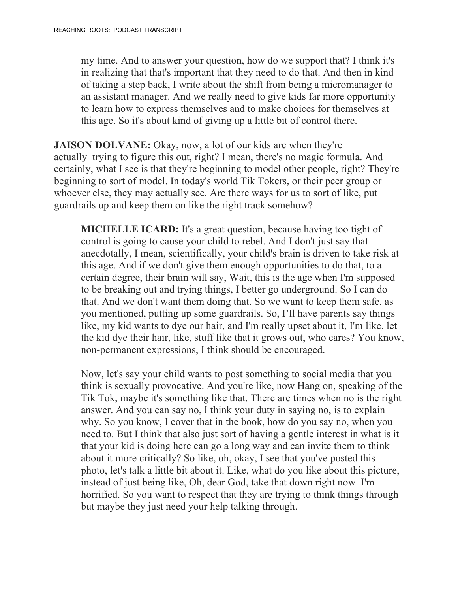my time. And to answer your question, how do we support that? I think it's in realizing that that's important that they need to do that. And then in kind of taking a step back, I write about the shift from being a micromanager to an assistant manager. And we really need to give kids far more opportunity to learn how to express themselves and to make choices for themselves at this age. So it's about kind of giving up a little bit of control there.

**JAISON DOLVANE:** Okay, now, a lot of our kids are when they're actually trying to figure this out, right? I mean, there's no magic formula. And certainly, what I see is that they're beginning to model other people, right? They're beginning to sort of model. In today's world Tik Tokers, or their peer group or whoever else, they may actually see. Are there ways for us to sort of like, put guardrails up and keep them on like the right track somehow?

**MICHELLE ICARD:** It's a great question, because having too tight of control is going to cause your child to rebel. And I don't just say that anecdotally, I mean, scientifically, your child's brain is driven to take risk at this age. And if we don't give them enough opportunities to do that, to a certain degree, their brain will say, Wait, this is the age when I'm supposed to be breaking out and trying things, I better go underground. So I can do that. And we don't want them doing that. So we want to keep them safe, as you mentioned, putting up some guardrails. So, I'll have parents say things like, my kid wants to dye our hair, and I'm really upset about it, I'm like, let the kid dye their hair, like, stuff like that it grows out, who cares? You know, non-permanent expressions, I think should be encouraged.

Now, let's say your child wants to post something to social media that you think is sexually provocative. And you're like, now Hang on, speaking of the Tik Tok, maybe it's something like that. There are times when no is the right answer. And you can say no, I think your duty in saying no, is to explain why. So you know, I cover that in the book, how do you say no, when you need to. But I think that also just sort of having a gentle interest in what is it that your kid is doing here can go a long way and can invite them to think about it more critically? So like, oh, okay, I see that you've posted this photo, let's talk a little bit about it. Like, what do you like about this picture, instead of just being like, Oh, dear God, take that down right now. I'm horrified. So you want to respect that they are trying to think things through but maybe they just need your help talking through.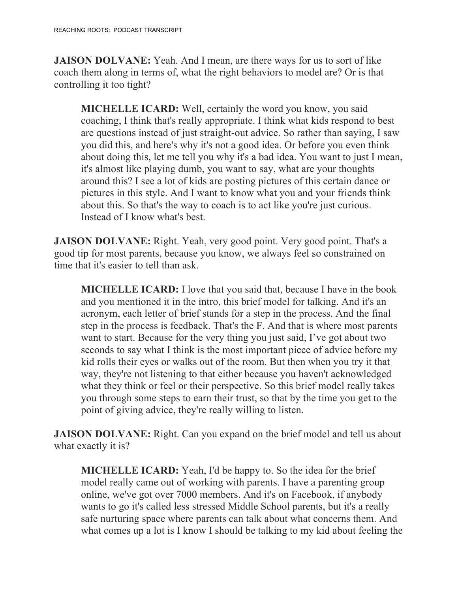**JAISON DOLVANE:** Yeah. And I mean, are there ways for us to sort of like coach them along in terms of, what the right behaviors to model are? Or is that controlling it too tight?

**MICHELLE ICARD:** Well, certainly the word you know, you said coaching, I think that's really appropriate. I think what kids respond to best are questions instead of just straight-out advice. So rather than saying, I saw you did this, and here's why it's not a good idea. Or before you even think about doing this, let me tell you why it's a bad idea. You want to just I mean, it's almost like playing dumb, you want to say, what are your thoughts around this? I see a lot of kids are posting pictures of this certain dance or pictures in this style. And I want to know what you and your friends think about this. So that's the way to coach is to act like you're just curious. Instead of I know what's best.

**JAISON DOLVANE:** Right. Yeah, very good point. Very good point. That's a good tip for most parents, because you know, we always feel so constrained on time that it's easier to tell than ask.

**MICHELLE ICARD:** I love that you said that, because I have in the book and you mentioned it in the intro, this brief model for talking. And it's an acronym, each letter of brief stands for a step in the process. And the final step in the process is feedback. That's the F. And that is where most parents want to start. Because for the very thing you just said, I've got about two seconds to say what I think is the most important piece of advice before my kid rolls their eyes or walks out of the room. But then when you try it that way, they're not listening to that either because you haven't acknowledged what they think or feel or their perspective. So this brief model really takes you through some steps to earn their trust, so that by the time you get to the point of giving advice, they're really willing to listen.

**JAISON DOLVANE:** Right. Can you expand on the brief model and tell us about what exactly it is?

**MICHELLE ICARD:** Yeah, I'd be happy to. So the idea for the brief model really came out of working with parents. I have a parenting group online, we've got over 7000 members. And it's on Facebook, if anybody wants to go it's called less stressed Middle School parents, but it's a really safe nurturing space where parents can talk about what concerns them. And what comes up a lot is I know I should be talking to my kid about feeling the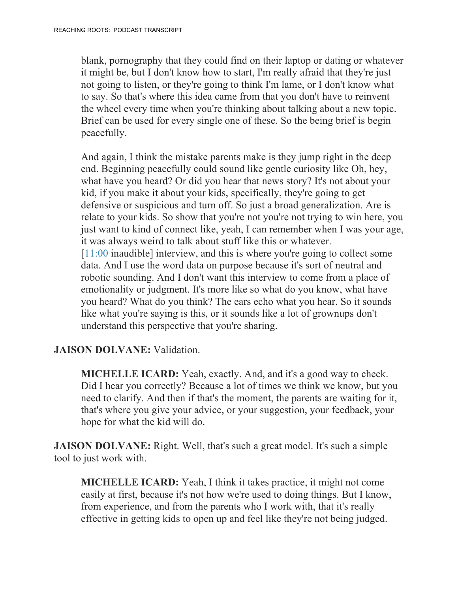blank, pornography that they could find on their laptop or dating or whatever it might be, but I don't know how to start, I'm really afraid that they're just not going to listen, or they're going to think I'm lame, or I don't know what to say. So that's where this idea came from that you don't have to reinvent the wheel every time when you're thinking about talking about a new topic. Brief can be used for every single one of these. So the being brief is begin peacefully.

And again, I think the mistake parents make is they jump right in the deep end. Beginning peacefully could sound like gentle curiosity like Oh, hey, what have you heard? Or did you hear that news story? It's not about your kid, if you make it about your kids, specifically, they're going to get defensive or suspicious and turn off. So just a broad generalization. Are is relate to your kids. So show that you're not you're not trying to win here, you just want to kind of connect like, yeah, I can remember when I was your age, it was always weird to talk about stuff like this or whatever. [11:00 inaudible] interview, and this is where you're going to collect some data. And I use the word data on purpose because it's sort of neutral and robotic sounding. And I don't want this interview to come from a place of emotionality or judgment. It's more like so what do you know, what have you heard? What do you think? The ears echo what you hear. So it sounds like what you're saying is this, or it sounds like a lot of grownups don't understand this perspective that you're sharing.

#### **JAISON DOLVANE:** Validation.

**MICHELLE ICARD:** Yeah, exactly. And, and it's a good way to check. Did I hear you correctly? Because a lot of times we think we know, but you need to clarify. And then if that's the moment, the parents are waiting for it, that's where you give your advice, or your suggestion, your feedback, your hope for what the kid will do.

**JAISON DOLVANE:** Right. Well, that's such a great model. It's such a simple tool to just work with.

**MICHELLE ICARD:** Yeah, I think it takes practice, it might not come easily at first, because it's not how we're used to doing things. But I know, from experience, and from the parents who I work with, that it's really effective in getting kids to open up and feel like they're not being judged.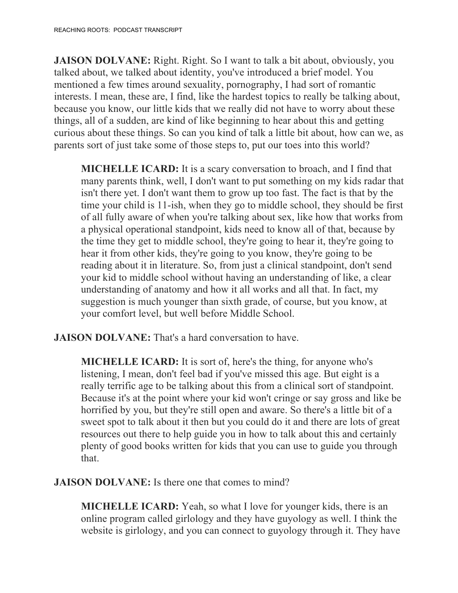**JAISON DOLVANE:** Right. Right. So I want to talk a bit about, obviously, you talked about, we talked about identity, you've introduced a brief model. You mentioned a few times around sexuality, pornography, I had sort of romantic interests. I mean, these are, I find, like the hardest topics to really be talking about, because you know, our little kids that we really did not have to worry about these things, all of a sudden, are kind of like beginning to hear about this and getting curious about these things. So can you kind of talk a little bit about, how can we, as parents sort of just take some of those steps to, put our toes into this world?

**MICHELLE ICARD:** It is a scary conversation to broach, and I find that many parents think, well, I don't want to put something on my kids radar that isn't there yet. I don't want them to grow up too fast. The fact is that by the time your child is 11-ish, when they go to middle school, they should be first of all fully aware of when you're talking about sex, like how that works from a physical operational standpoint, kids need to know all of that, because by the time they get to middle school, they're going to hear it, they're going to hear it from other kids, they're going to you know, they're going to be reading about it in literature. So, from just a clinical standpoint, don't send your kid to middle school without having an understanding of like, a clear understanding of anatomy and how it all works and all that. In fact, my suggestion is much younger than sixth grade, of course, but you know, at your comfort level, but well before Middle School.

**JAISON DOLVANE:** That's a hard conversation to have.

**MICHELLE ICARD:** It is sort of, here's the thing, for anyone who's listening, I mean, don't feel bad if you've missed this age. But eight is a really terrific age to be talking about this from a clinical sort of standpoint. Because it's at the point where your kid won't cringe or say gross and like be horrified by you, but they're still open and aware. So there's a little bit of a sweet spot to talk about it then but you could do it and there are lots of great resources out there to help guide you in how to talk about this and certainly plenty of good books written for kids that you can use to guide you through that.

**JAISON DOLVANE:** Is there one that comes to mind?

**MICHELLE ICARD:** Yeah, so what I love for younger kids, there is an online program called girlology and they have guyology as well. I think the website is girlology, and you can connect to guyology through it. They have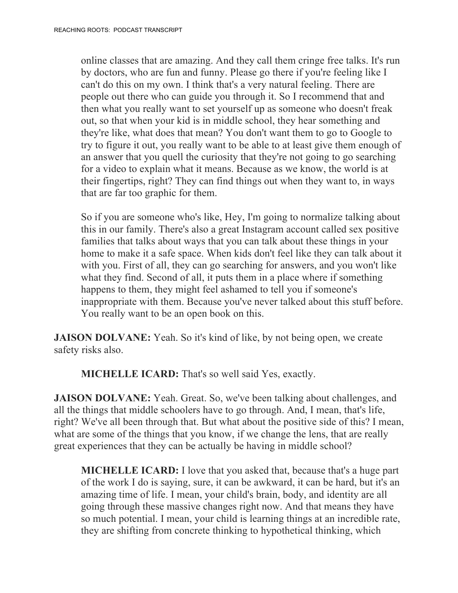online classes that are amazing. And they call them cringe free talks. It's run by doctors, who are fun and funny. Please go there if you're feeling like I can't do this on my own. I think that's a very natural feeling. There are people out there who can guide you through it. So I recommend that and then what you really want to set yourself up as someone who doesn't freak out, so that when your kid is in middle school, they hear something and they're like, what does that mean? You don't want them to go to Google to try to figure it out, you really want to be able to at least give them enough of an answer that you quell the curiosity that they're not going to go searching for a video to explain what it means. Because as we know, the world is at their fingertips, right? They can find things out when they want to, in ways that are far too graphic for them.

So if you are someone who's like, Hey, I'm going to normalize talking about this in our family. There's also a great Instagram account called sex positive families that talks about ways that you can talk about these things in your home to make it a safe space. When kids don't feel like they can talk about it with you. First of all, they can go searching for answers, and you won't like what they find. Second of all, it puts them in a place where if something happens to them, they might feel ashamed to tell you if someone's inappropriate with them. Because you've never talked about this stuff before. You really want to be an open book on this.

**JAISON DOLVANE:** Yeah. So it's kind of like, by not being open, we create safety risks also.

**MICHELLE ICARD:** That's so well said Yes, exactly.

**JAISON DOLVANE:** Yeah. Great. So, we've been talking about challenges, and all the things that middle schoolers have to go through. And, I mean, that's life, right? We've all been through that. But what about the positive side of this? I mean, what are some of the things that you know, if we change the lens, that are really great experiences that they can be actually be having in middle school?

**MICHELLE ICARD:** I love that you asked that, because that's a huge part of the work I do is saying, sure, it can be awkward, it can be hard, but it's an amazing time of life. I mean, your child's brain, body, and identity are all going through these massive changes right now. And that means they have so much potential. I mean, your child is learning things at an incredible rate, they are shifting from concrete thinking to hypothetical thinking, which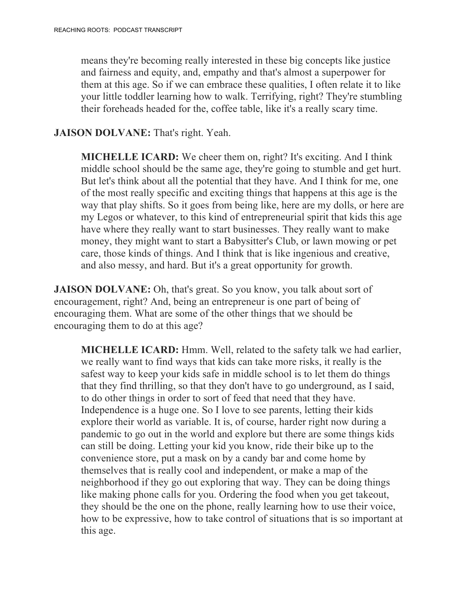means they're becoming really interested in these big concepts like justice and fairness and equity, and, empathy and that's almost a superpower for them at this age. So if we can embrace these qualities, I often relate it to like your little toddler learning how to walk. Terrifying, right? They're stumbling their foreheads headed for the, coffee table, like it's a really scary time.

#### **JAISON DOLVANE:** That's right. Yeah.

**MICHELLE ICARD:** We cheer them on, right? It's exciting. And I think middle school should be the same age, they're going to stumble and get hurt. But let's think about all the potential that they have. And I think for me, one of the most really specific and exciting things that happens at this age is the way that play shifts. So it goes from being like, here are my dolls, or here are my Legos or whatever, to this kind of entrepreneurial spirit that kids this age have where they really want to start businesses. They really want to make money, they might want to start a Babysitter's Club, or lawn mowing or pet care, those kinds of things. And I think that is like ingenious and creative, and also messy, and hard. But it's a great opportunity for growth.

**JAISON DOLVANE:** Oh, that's great. So you know, you talk about sort of encouragement, right? And, being an entrepreneur is one part of being of encouraging them. What are some of the other things that we should be encouraging them to do at this age?

**MICHELLE ICARD:** Hmm. Well, related to the safety talk we had earlier, we really want to find ways that kids can take more risks, it really is the safest way to keep your kids safe in middle school is to let them do things that they find thrilling, so that they don't have to go underground, as I said, to do other things in order to sort of feed that need that they have. Independence is a huge one. So I love to see parents, letting their kids explore their world as variable. It is, of course, harder right now during a pandemic to go out in the world and explore but there are some things kids can still be doing. Letting your kid you know, ride their bike up to the convenience store, put a mask on by a candy bar and come home by themselves that is really cool and independent, or make a map of the neighborhood if they go out exploring that way. They can be doing things like making phone calls for you. Ordering the food when you get takeout, they should be the one on the phone, really learning how to use their voice, how to be expressive, how to take control of situations that is so important at this age.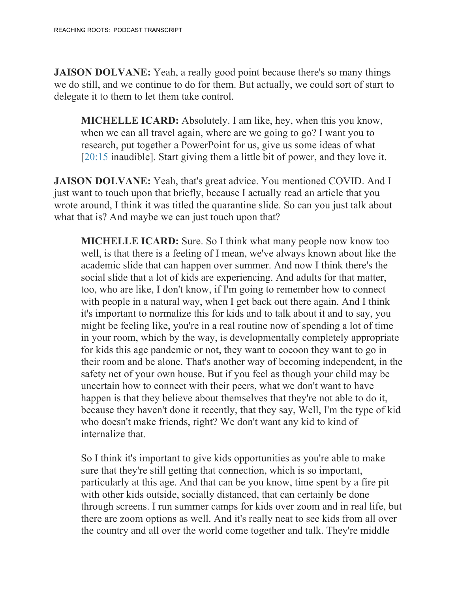**JAISON DOLVANE:** Yeah, a really good point because there's so many things we do still, and we continue to do for them. But actually, we could sort of start to delegate it to them to let them take control.

**MICHELLE ICARD:** Absolutely. I am like, hey, when this you know, when we can all travel again, where are we going to go? I want you to research, put together a PowerPoint for us, give us some ideas of what [20:15 inaudible]. Start giving them a little bit of power, and they love it.

**JAISON DOLVANE:** Yeah, that's great advice. You mentioned COVID. And I just want to touch upon that briefly, because I actually read an article that you wrote around, I think it was titled the quarantine slide. So can you just talk about what that is? And maybe we can just touch upon that?

**MICHELLE ICARD:** Sure. So I think what many people now know too well, is that there is a feeling of I mean, we've always known about like the academic slide that can happen over summer. And now I think there's the social slide that a lot of kids are experiencing. And adults for that matter, too, who are like, I don't know, if I'm going to remember how to connect with people in a natural way, when I get back out there again. And I think it's important to normalize this for kids and to talk about it and to say, you might be feeling like, you're in a real routine now of spending a lot of time in your room, which by the way, is developmentally completely appropriate for kids this age pandemic or not, they want to cocoon they want to go in their room and be alone. That's another way of becoming independent, in the safety net of your own house. But if you feel as though your child may be uncertain how to connect with their peers, what we don't want to have happen is that they believe about themselves that they're not able to do it, because they haven't done it recently, that they say, Well, I'm the type of kid who doesn't make friends, right? We don't want any kid to kind of internalize that.

So I think it's important to give kids opportunities as you're able to make sure that they're still getting that connection, which is so important, particularly at this age. And that can be you know, time spent by a fire pit with other kids outside, socially distanced, that can certainly be done through screens. I run summer camps for kids over zoom and in real life, but there are zoom options as well. And it's really neat to see kids from all over the country and all over the world come together and talk. They're middle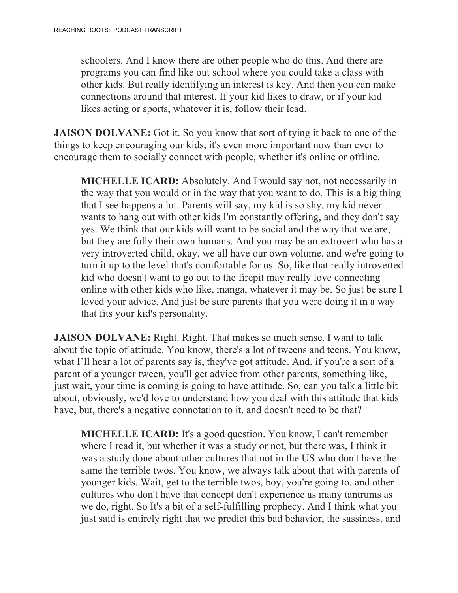schoolers. And I know there are other people who do this. And there are programs you can find like out school where you could take a class with other kids. But really identifying an interest is key. And then you can make connections around that interest. If your kid likes to draw, or if your kid likes acting or sports, whatever it is, follow their lead.

**JAISON DOLVANE:** Got it. So you know that sort of tying it back to one of the things to keep encouraging our kids, it's even more important now than ever to encourage them to socially connect with people, whether it's online or offline.

**MICHELLE ICARD:** Absolutely. And I would say not, not necessarily in the way that you would or in the way that you want to do. This is a big thing that I see happens a lot. Parents will say, my kid is so shy, my kid never wants to hang out with other kids I'm constantly offering, and they don't say yes. We think that our kids will want to be social and the way that we are, but they are fully their own humans. And you may be an extrovert who has a very introverted child, okay, we all have our own volume, and we're going to turn it up to the level that's comfortable for us. So, like that really introverted kid who doesn't want to go out to the firepit may really love connecting online with other kids who like, manga, whatever it may be. So just be sure I loved your advice. And just be sure parents that you were doing it in a way that fits your kid's personality.

**JAISON DOLVANE:** Right. Right. That makes so much sense. I want to talk about the topic of attitude. You know, there's a lot of tweens and teens. You know, what I'll hear a lot of parents say is, they've got attitude. And, if you're a sort of a parent of a younger tween, you'll get advice from other parents, something like, just wait, your time is coming is going to have attitude. So, can you talk a little bit about, obviously, we'd love to understand how you deal with this attitude that kids have, but, there's a negative connotation to it, and doesn't need to be that?

**MICHELLE ICARD:** It's a good question. You know, I can't remember where I read it, but whether it was a study or not, but there was, I think it was a study done about other cultures that not in the US who don't have the same the terrible twos. You know, we always talk about that with parents of younger kids. Wait, get to the terrible twos, boy, you're going to, and other cultures who don't have that concept don't experience as many tantrums as we do, right. So It's a bit of a self-fulfilling prophecy. And I think what you just said is entirely right that we predict this bad behavior, the sassiness, and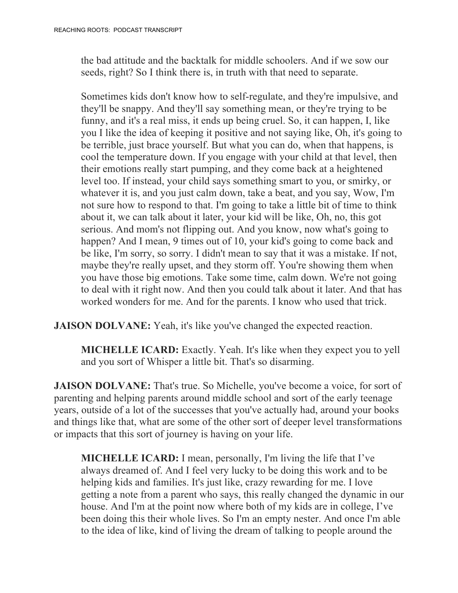the bad attitude and the backtalk for middle schoolers. And if we sow our seeds, right? So I think there is, in truth with that need to separate.

Sometimes kids don't know how to self-regulate, and they're impulsive, and they'll be snappy. And they'll say something mean, or they're trying to be funny, and it's a real miss, it ends up being cruel. So, it can happen, I, like you I like the idea of keeping it positive and not saying like, Oh, it's going to be terrible, just brace yourself. But what you can do, when that happens, is cool the temperature down. If you engage with your child at that level, then their emotions really start pumping, and they come back at a heightened level too. If instead, your child says something smart to you, or smirky, or whatever it is, and you just calm down, take a beat, and you say, Wow, I'm not sure how to respond to that. I'm going to take a little bit of time to think about it, we can talk about it later, your kid will be like, Oh, no, this got serious. And mom's not flipping out. And you know, now what's going to happen? And I mean, 9 times out of 10, your kid's going to come back and be like, I'm sorry, so sorry. I didn't mean to say that it was a mistake. If not, maybe they're really upset, and they storm off. You're showing them when you have those big emotions. Take some time, calm down. We're not going to deal with it right now. And then you could talk about it later. And that has worked wonders for me. And for the parents. I know who used that trick.

**JAISON DOLVANE:** Yeah, it's like you've changed the expected reaction.

**MICHELLE ICARD:** Exactly. Yeah. It's like when they expect you to yell and you sort of Whisper a little bit. That's so disarming.

**JAISON DOLVANE:** That's true. So Michelle, you've become a voice, for sort of parenting and helping parents around middle school and sort of the early teenage years, outside of a lot of the successes that you've actually had, around your books and things like that, what are some of the other sort of deeper level transformations or impacts that this sort of journey is having on your life.

**MICHELLE ICARD:** I mean, personally, I'm living the life that I've always dreamed of. And I feel very lucky to be doing this work and to be helping kids and families. It's just like, crazy rewarding for me. I love getting a note from a parent who says, this really changed the dynamic in our house. And I'm at the point now where both of my kids are in college, I've been doing this their whole lives. So I'm an empty nester. And once I'm able to the idea of like, kind of living the dream of talking to people around the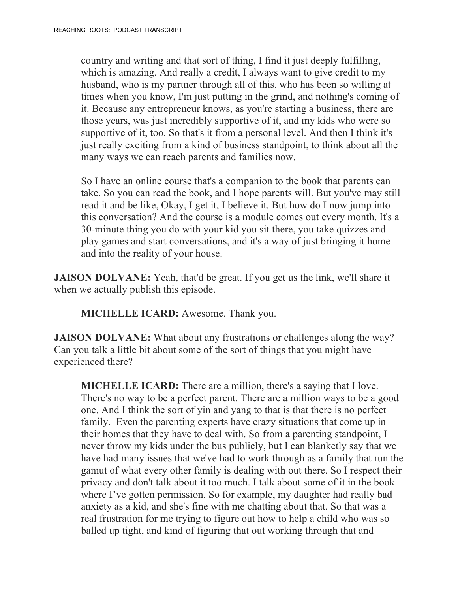country and writing and that sort of thing, I find it just deeply fulfilling, which is amazing. And really a credit, I always want to give credit to my husband, who is my partner through all of this, who has been so willing at times when you know, I'm just putting in the grind, and nothing's coming of it. Because any entrepreneur knows, as you're starting a business, there are those years, was just incredibly supportive of it, and my kids who were so supportive of it, too. So that's it from a personal level. And then I think it's just really exciting from a kind of business standpoint, to think about all the many ways we can reach parents and families now.

So I have an online course that's a companion to the book that parents can take. So you can read the book, and I hope parents will. But you've may still read it and be like, Okay, I get it, I believe it. But how do I now jump into this conversation? And the course is a module comes out every month. It's a 30-minute thing you do with your kid you sit there, you take quizzes and play games and start conversations, and it's a way of just bringing it home and into the reality of your house.

**JAISON DOLVANE:** Yeah, that'd be great. If you get us the link, we'll share it when we actually publish this episode.

**MICHELLE ICARD:** Awesome. Thank you.

**JAISON DOLVANE:** What about any frustrations or challenges along the way? Can you talk a little bit about some of the sort of things that you might have experienced there?

**MICHELLE ICARD:** There are a million, there's a saying that I love. There's no way to be a perfect parent. There are a million ways to be a good one. And I think the sort of yin and yang to that is that there is no perfect family. Even the parenting experts have crazy situations that come up in their homes that they have to deal with. So from a parenting standpoint, I never throw my kids under the bus publicly, but I can blanketly say that we have had many issues that we've had to work through as a family that run the gamut of what every other family is dealing with out there. So I respect their privacy and don't talk about it too much. I talk about some of it in the book where I've gotten permission. So for example, my daughter had really bad anxiety as a kid, and she's fine with me chatting about that. So that was a real frustration for me trying to figure out how to help a child who was so balled up tight, and kind of figuring that out working through that and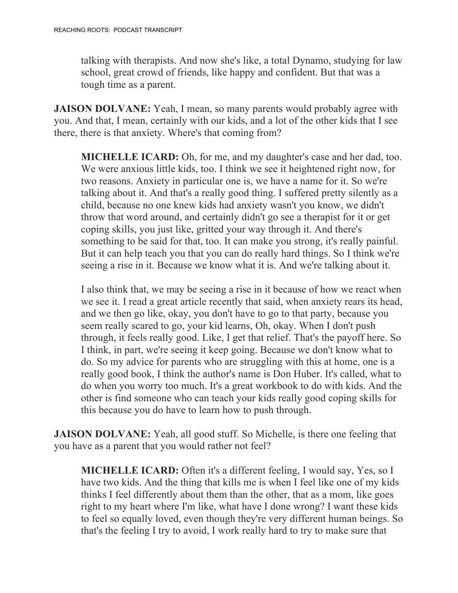talking with therapists. And now she's like, a total Dynamo, studying for law school, great crowd of friends, like happy and confident. But that was a tough time as a parent.

**JAISON DOLVANE:** Yeah, I mean, so many parents would probably agree with you. And that, I mean, certainly with our kids, and a lot of the other kids that I see there, there is that anxiety. Where's that coming from?

**MICHELLE ICARD:** Oh, for me, and my daughter's case and her dad, too. We were anxious little kids, too. I think we see it heightened right now, for two reasons. Anxiety in particular one is, we have a name for it. So we're talking about it. And that's a really good thing. I suffered pretty silently as a child, because no one knew kids had anxiety wasn't you know, we didn't throw that word around, and certainly didn't go see a therapist for it or get coping skills, you just like, gritted your way through it. And there's something to be said for that, too. It can make you strong, it's really painful. But it can help teach you that you can do really hard things. So I think we're seeing a rise in it. Because we know what it is. And we're talking about it.

I also think that, we may be seeing a rise in it because of how we react when we see it. I read a great article recently that said, when anxiety rears its head, and we then go like, okay, you don't have to go to that party, because you seem really scared to go, your kid learns, Oh, okay. When I don't push through, it feels really good. Like, I get that relief. That's the payoff here. So I think, in part, we're seeing it keep going. Because we don't know what to do. So my advice for parents who are struggling with this at home, one is a really good book, I think the author's name is Don Huber. It's called, what to do when you worry too much. It's a great workbook to do with kids. And the other is find someone who can teach your kids really good coping skills for this because you do have to learn how to push through.

**JAISON DOLVANE:** Yeah, all good stuff. So Michelle, is there one feeling that you have as a parent that you would rather not feel?

**MICHELLE ICARD:** Often it's a different feeling, I would say, Yes, so I have two kids. And the thing that kills me is when I feel like one of my kids thinks I feel differently about them than the other, that as a mom, like goes right to my heart where I'm like, what have I done wrong? I want these kids to feel so equally loved, even though they're very different human beings. So that's the feeling I try to avoid, I work really hard to try to make sure that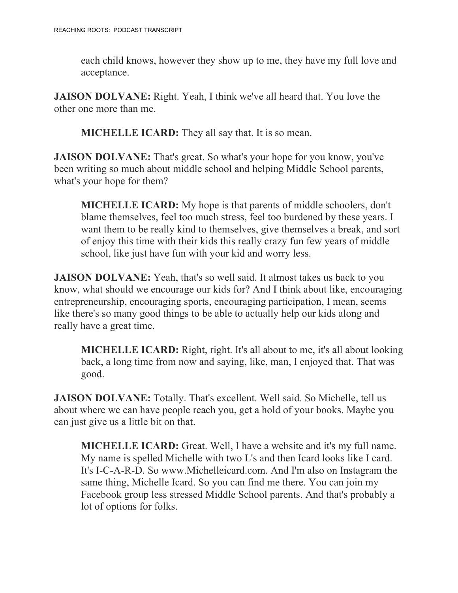each child knows, however they show up to me, they have my full love and acceptance.

**JAISON DOLVANE:** Right. Yeah, I think we've all heard that. You love the other one more than me.

**MICHELLE ICARD:** They all say that. It is so mean.

**JAISON DOLVANE:** That's great. So what's your hope for you know, you've been writing so much about middle school and helping Middle School parents, what's your hope for them?

**MICHELLE ICARD:** My hope is that parents of middle schoolers, don't blame themselves, feel too much stress, feel too burdened by these years. I want them to be really kind to themselves, give themselves a break, and sort of enjoy this time with their kids this really crazy fun few years of middle school, like just have fun with your kid and worry less.

**JAISON DOLVANE:** Yeah, that's so well said. It almost takes us back to you know, what should we encourage our kids for? And I think about like, encouraging entrepreneurship, encouraging sports, encouraging participation, I mean, seems like there's so many good things to be able to actually help our kids along and really have a great time.

**MICHELLE ICARD:** Right, right. It's all about to me, it's all about looking back, a long time from now and saying, like, man, I enjoyed that. That was good.

**JAISON DOLVANE:** Totally. That's excellent. Well said. So Michelle, tell us about where we can have people reach you, get a hold of your books. Maybe you can just give us a little bit on that.

**MICHELLE ICARD:** Great. Well, I have a website and it's my full name. My name is spelled Michelle with two L's and then Icard looks like I card. It's I-C-A-R-D. So www.Michelleicard.com. And I'm also on Instagram the same thing, Michelle Icard. So you can find me there. You can join my Facebook group less stressed Middle School parents. And that's probably a lot of options for folks.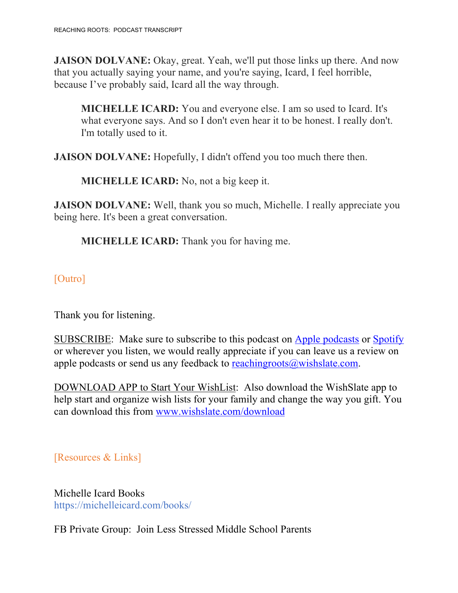**JAISON DOLVANE:** Okay, great. Yeah, we'll put those links up there. And now that you actually saying your name, and you're saying, Icard, I feel horrible, because I've probably said, Icard all the way through.

**MICHELLE ICARD:** You and everyone else. I am so used to Icard. It's what everyone says. And so I don't even hear it to be honest. I really don't. I'm totally used to it.

**JAISON DOLVANE:** Hopefully, I didn't offend you too much there then.

**MICHELLE ICARD:** No, not a big keep it.

**JAISON DOLVANE:** Well, thank you so much, Michelle. I really appreciate you being here. It's been a great conversation.

**MICHELLE ICARD:** Thank you for having me.

[Outro]

Thank you for listening.

SUBSCRIBE: Make sure to subscribe to this podcast on Apple podcasts or Spotify or wherever you listen, we would really appreciate if you can leave us a review on apple podcasts or send us any feedback to reachingroots $\omega$ wishslate.com.

DOWNLOAD APP to Start Your WishList: Also download the WishSlate app to help start and organize wish lists for your family and change the way you gift. You can download this from www.wishslate.com/download

[Resources & Links]

Michelle Icard Books https://michelleicard.com/books/

FB Private Group: Join Less Stressed Middle School Parents